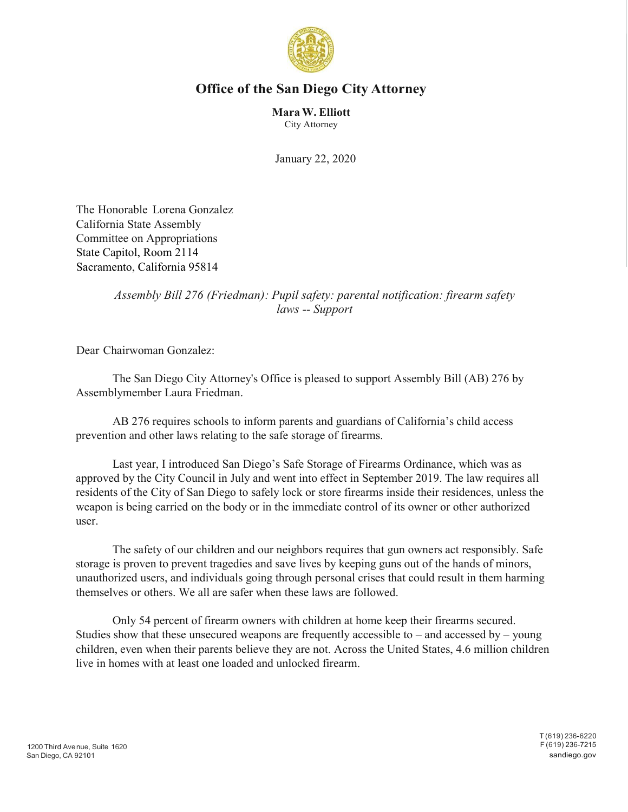

## **Office of the San Diego City Attorney**

**MaraW. Elliott** City Attorney

January 22, 2020

The Honorable Lorena Gonzalez California State Assembly Committee on Appropriations State Capitol, Room 2114 Sacramento, California 95814

## *Assembly Bill 276 (Friedman): Pupil safety: parental notification: firearm safety laws -- Support*

Dear Chairwoman Gonzalez:

The San Diego City Attorney's Office is pleased to support Assembly Bill (AB) 276 by Assemblymember Laura Friedman.

AB 276 requires schools to inform parents and guardians of California's child access prevention and other laws relating to the safe storage of firearms.

Last year, I introduced San Diego's Safe Storage of Firearms Ordinance, which was as approved by the City Council in July and went into effect in September 2019. The law requires all residents of the City of San Diego to safely lock or store firearms inside their residences, unless the weapon is being carried on the body or in the immediate control of its owner or other authorized user.

The safety of our children and our neighbors requires that gun owners act responsibly. Safe storage is proven to prevent tragedies and save lives by keeping guns out of the hands of minors, unauthorized users, and individuals going through personal crises that could result in them harming themselves or others. We all are safer when these laws are followed.

Only 54 percent of firearm owners with children at home keep their firearms secured. Studies show that these unsecured weapons are frequently accessible to – and accessed by – young children, even when their parents believe they are not. Across the United States, 4.6 million children live in homes with at least one loaded and unlocked firearm.